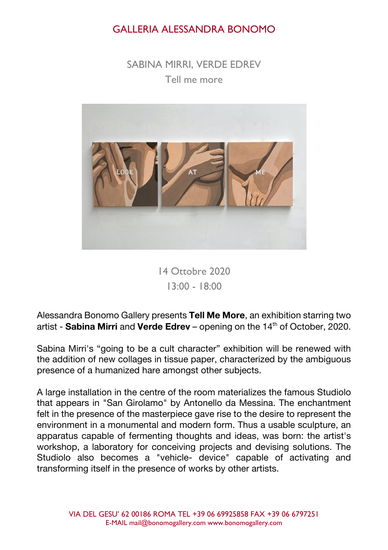## GALLERIA ALESSANDRA BONOMO

SABINA MIRRI, VERDE EDREV Tell me more



14 Ottobre 2020 13:00 - 18:00

Alessandra Bonomo Gallery presents **Tell Me More**, an exhibition starring two artist - **Sabina Mirri** and **Verde Edrev** – opening on the 14th of October, 2020.

Sabina Mirri's "going to be a cult character" exhibition will be renewed with the addition of new collages in tissue paper, characterized by the ambiguous presence of a humanized hare amongst other subjects.

A large installation in the centre of the room materializes the famous Studiolo that appears in "San Girolamo" by Antonello da Messina. The enchantment felt in the presence of the masterpiece gave rise to the desire to represent the environment in a monumental and modern form. Thus a usable sculpture, an apparatus capable of fermenting thoughts and ideas, was born: the artist's workshop, a laboratory for conceiving projects and devising solutions. The Studiolo also becomes a "vehicle- device" capable of activating and transforming itself in the presence of works by other artists.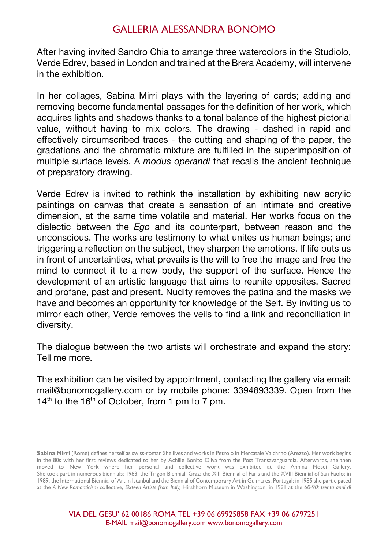## GALLERIA ALESSANDRA BONOMO

After having invited Sandro Chia to arrange three watercolors in the Studiolo, Verde Edrev, based in London and trained at the Brera Academy, will intervene in the exhibition.

In her collages, Sabina Mirri plays with the layering of cards; adding and removing become fundamental passages for the definition of her work, which acquires lights and shadows thanks to a tonal balance of the highest pictorial value, without having to mix colors. The drawing - dashed in rapid and effectively circumscribed traces - the cutting and shaping of the paper, the gradations and the chromatic mixture are fulfilled in the superimposition of multiple surface levels. A *modus operandi* that recalls the ancient technique of preparatory drawing.

Verde Edrev is invited to rethink the installation by exhibiting new acrylic paintings on canvas that create a sensation of an intimate and creative dimension, at the same time volatile and material. Her works focus on the dialectic between the *Ego* and its counterpart, between reason and the unconscious. The works are testimony to what unites us human beings; and triggering a reflection on the subject, they sharpen the emotions. If life puts us in front of uncertainties, what prevails is the will to free the image and free the mind to connect it to a new body, the support of the surface. Hence the development of an artistic language that aims to reunite opposites. Sacred and profane, past and present. Nudity removes the patina and the masks we have and becomes an opportunity for knowledge of the Self. By inviting us to mirror each other, Verde removes the veils to find a link and reconciliation in diversity.

The dialogue between the two artists will orchestrate and expand the story: Tell me more.

The exhibition can be visited by appointment, contacting the gallery via email: mail@bonomogallery.com or by mobile phone: 3394893339. Open from the  $14<sup>th</sup>$  to the 16<sup>th</sup> of October, from 1 pm to 7 pm.

**Sabina Mirri** (Rome) defines herself as swiss-roman She lives and works in Petrolo in Mercatale Valdarno (Arezzo). Her work begins in the 80s with her first reviews dedicated to her by Achille Bonito Oliva from the Post Transavanguardia. Afterwards, she then moved to New York where her personal and collective work was exhibited at the Annina Nosei Gallery. She took part in numerous biennials: 1983, the Trigon Biennial, Graz; the XIII Biennial of Paris and the XVIII Biennial of San Paolo; in 1989, the International Biennial of Art in Istanbul and the Biennial of Contemporary Art in Guimares, Portugal; in 1985 she participated at the *A New Romanticism* collective, *Sixteen Artists from Italy,* Hirshhorn Museum in Washington; in 1991 at the *60-90: trenta anni di*